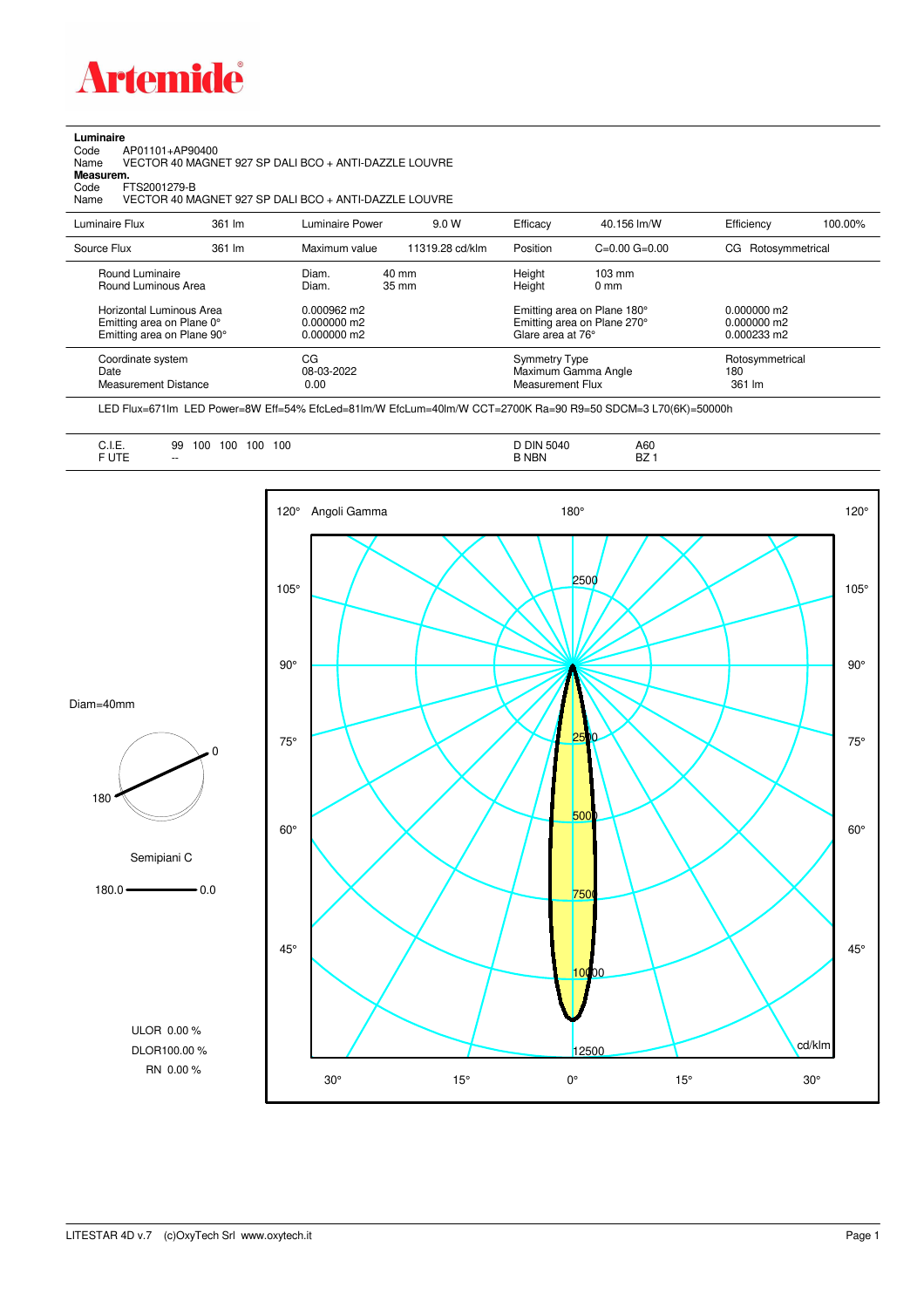

## **Luminaire**<br>Code<br>Name

Code AP01101+AP90400 Name VECTOR 40 MAGNET 927 SP DALI BCO + ANTI-DAZZLE LOUVRE **Measurem.**

Code FTS2001279-B<br>Name VECTOR 40 M/ Name VECTOR 40 MAGNET 927 SP DALI BCO + ANTI-DAZZLE LOUVRE

| Luminaire Flux                                                                                  | 361 lm | Luminaire Power                                         | 9.0 W           | Efficacy                                               | 40.156 lm/W                                                                                      | Efficiency                                               | 100.00% |
|-------------------------------------------------------------------------------------------------|--------|---------------------------------------------------------|-----------------|--------------------------------------------------------|--------------------------------------------------------------------------------------------------|----------------------------------------------------------|---------|
| Source Flux                                                                                     | 361 lm | Maximum value                                           | 11319.28 cd/klm | Position                                               | $C=0.00$ $G=0.00$                                                                                | CG Rotosymmetrical                                       |         |
| Round Luminaire<br>Round Luminous Area<br>Horizontal Luminous Area<br>Emitting area on Plane 0° |        | Diam.<br>Diam.<br>$0.000962 \text{ m}$<br>$0.000000$ m2 | 40 mm<br>35 mm  | Height<br>Height                                       | $103 \text{ mm}$<br>$0 \text{ mm}$<br>Emitting area on Plane 180°<br>Emitting area on Plane 270° | $0.000000$ m2<br>$0.000000$ m2                           |         |
| Emitting area on Plane 90°<br>Coordinate system<br>Date<br>Measurement Distance                 |        | $0.000000$ m2<br>CG<br>08-03-2022<br>0.00               |                 | Glare area at 76°<br>Symmetry Type<br>Measurement Flux | Maximum Gamma Angle                                                                              | $0.000233 \text{ m}$<br>Rotosymmetrical<br>180<br>361 lm |         |

LED Flux=671lm LED Power=8W Eff=54% EfcLed=81lm/W EfcLum=40lm/W CCT=2700K Ra=90 R9=50 SDCM=3 L70(6K)=50000h